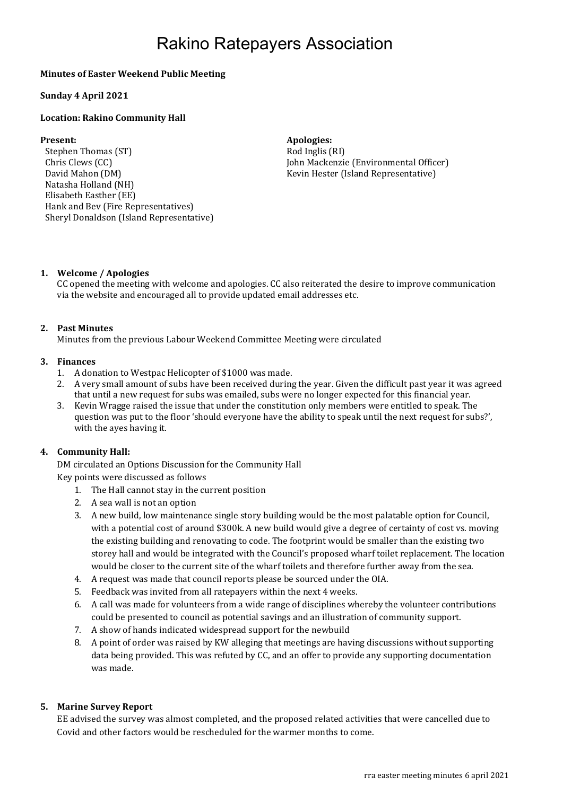## Rakino Ratepayers Association

### Minutes of Easter Weekend Public Meeting

#### Sunday 4 April 2021

#### Location: Rakino Community Hall

Stephen Thomas (ST) Rod Inglis (RI) Chris Clews (CC) David Mahon (DM) Natasha Holland (NH) Elisabeth Easther (EE) Hank and Bev (Fire Representatives) Sheryl Donaldson (Island Representative)

#### Present: Apologies: Apologies: Apologies: Apologies: Apologies: Apologies: Apologies: Apologies: Apologies: Apologies: Apologies: Apologies: Apologies: Apologies: Apologies: Apologies: Apologies: Apologies: Apologies: Apol

 John Mackenzie (Environmental Officer) Kevin Hester (Island Representative)

#### 1. Welcome / Apologies

CC opened the meeting with welcome and apologies. CC also reiterated the desire to improve communication via the website and encouraged all to provide updated email addresses etc.

#### 2. Past Minutes

Minutes from the previous Labour Weekend Committee Meeting were circulated

#### 3. Finances

- 1. A donation to Westpac Helicopter of \$1000 was made.
- 2. A very small amount of subs have been received during the year. Given the difficult past year it was agreed that until a new request for subs was emailed, subs were no longer expected for this financial year.
- 3. Kevin Wragge raised the issue that under the constitution only members were entitled to speak. The question was put to the floor 'should everyone have the ability to speak until the next request for subs?', with the ayes having it.

#### 4. Community Hall:

DM circulated an Options Discussion for the Community Hall Key points were discussed as follows

- 1. The Hall cannot stay in the current position
- 2. A sea wall is not an option
- 3. A new build, low maintenance single story building would be the most palatable option for Council, with a potential cost of around \$300k. A new build would give a degree of certainty of cost vs. moving the existing building and renovating to code. The footprint would be smaller than the existing two storey hall and would be integrated with the Council's proposed wharf toilet replacement. The location would be closer to the current site of the wharf toilets and therefore further away from the sea.
- 4. A request was made that council reports please be sourced under the OIA.
- 5. Feedback was invited from all ratepayers within the next 4 weeks.
- 6. A call was made for volunteers from a wide range of disciplines whereby the volunteer contributions could be presented to council as potential savings and an illustration of community support.
- 7. A show of hands indicated widespread support for the newbuild
- 8. A point of order was raised by KW alleging that meetings are having discussions without supporting data being provided. This was refuted by CC, and an offer to provide any supporting documentation was made.

#### 5. Marine Survey Report

EE advised the survey was almost completed, and the proposed related activities that were cancelled due to Covid and other factors would be rescheduled for the warmer months to come.